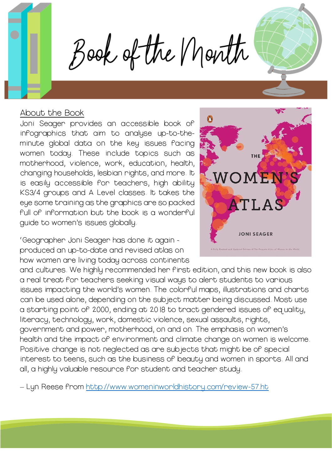Book of the Month

## About the Book

Joni Seager provides an accessible book of infographics that aim to analyse up-to-theminute global data on the key issues facing women today. These include topics such as motherhood, violence, work, education, health, changing households, lesbian rights, and more. It is easily accessible for teachers, high ability KS3/4 groups and A Level classes. It takes the eye some training as the graphics are so packed full of information but the book is a wonderful guide to women's issues globally.

'Geographer Joni Seager has done it again produced an up-to-date and revised atlas on how women are living today across continents



and cultures. We highly recommended her first edition, and this new book is also a real treat for teachers seeking visual ways to alert students to various issues impacting the world's women. The colorful maps, illustrations and charts can be used alone, depending on the subject matter being discussed. Most use a starting point of 2000, ending at 2018 to tract gendered issues of equality, literacy, technology, work, domestic violence, sexual assaults, rights, government and power, motherhood, on and on. The emphasis on women's health and the impact of environment and climate change on women is welcome. Positive change is not neglected as are subjects that might be of special interest to teens, such as the business of beauty and women in sports. All and all, a highly valuable resource for student and teacher study.

– Lyn Reese from<http://www.womeninworldhistory.com/review-57.ht>